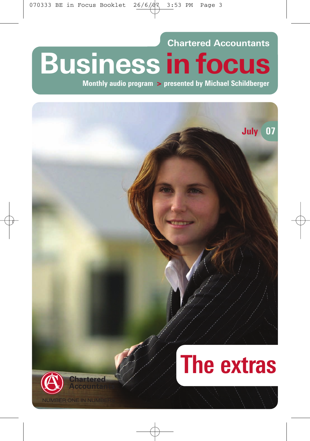**Chartered Accountants Business in focus**

**Monthly audio program > presented by Michael Schildberger**

# **July 07**





**VIBER ONE IN NUMBE**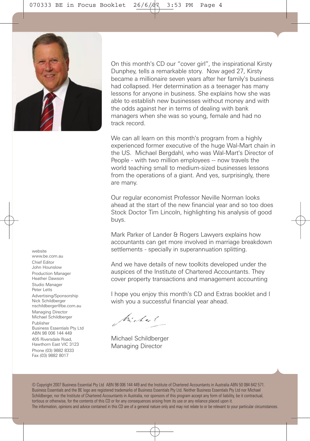

On this month's CD our "cover girl", the inspirational Kirsty Dunphey, tells a remarkable story. Now aged 27, Kirsty became a millionaire seven years after her family's business had collapsed. Her determination as a teenager has many lessons for anyone in business. She explains how she was able to establish new businesses without money and with the odds against her in terms of dealing with bank managers when she was so young, female and had no track record.

We can all learn on this month's program from a highly experienced former executive of the huge Wal-Mart chain in the US. Michael Bergdahl, who was Wal-Mart's Director of People - with two million employees -- now travels the world teaching small to medium-sized businesses lessons from the operations of a giant. And yes, surprisingly, there are many.

Our regular economist Professor Neville Norman looks ahead at the start of the new financial year and so too does Stock Doctor Tim Lincoln, highlighting his analysis of good buys.

Mark Parker of Lander & Rogers Lawyers explains how accountants can get more involved in marriage breakdown settlements - specially in superannuation splitting.

And we have details of new toolkits developed under the auspices of the Institute of Chartered Accountants. They cover property transactions and management accounting

I hope you enjoy this month's CD and Extras booklet and I wish you a successful financial year ahead.

Michael

Michael Schildberger Managing Director

© Copyright 2007 Business Essential Pty Ltd ABN 98 006 144 449 and the Institute of Chartered Accountants in Australia ABN 50 084 642 571. Business Essentials and the BE logo are registered trademarks of Business Essentials Pty Ltd. Neither Business Essentials Pty Ltd nor Michael Schildberger, nor the Institute of Chartered Accountants in Australia, nor sponsors of this program accept any form of liability, be it contractual, tortious or otherwise, for the contents of this CD or for any consequences arising from its use or any reliance placed upon it. The information, opinions and advice contained in this CD are of a general nature only and may not relate to or be relevant to your particular circumstances.

website www.be.com.au Chief Editor John Hounslow Production Manager Heather Dawson Studio Manager Peter Letts

Advertising/Sponsorship Nick Schildberger nschildberger@be.com.au

Managing Director Michael Schildberger

Publisher Business Essentials Pty Ltd ABN 98 006 144 449

405 Riversdale Road, Hawthorn East VIC 3123 Phone (03) 9882 8333 Fax (03) 9882 8017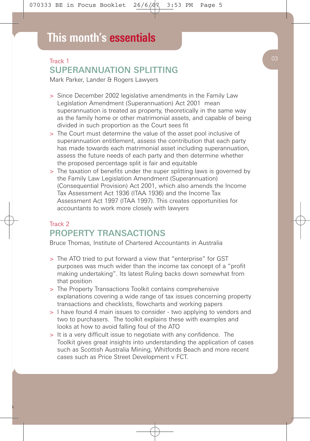## Track 1 SUPERANNUATION SPLITTING

Mark Parker, Lander & Rogers Lawyers

- > Since December 2002 legislative amendments in the Family Law Legislation Amendment (Superannuation) Act 2001 mean superannuation is treated as property, theoretically in the same way as the family home or other matrimonial assets, and capable of being divided in such proportion as the Court sees fit
- > The Court must determine the value of the asset pool inclusive of superannuation entitlement, assess the contribution that each party has made towards each matrimonial asset including superannuation, assess the future needs of each party and then determine whether the proposed percentage split is fair and equitable
- > The taxation of benefits under the super splitting laws is governed by the Family Law Legislation Amendment (Superannuation) (Consequential Provision) Act 2001, which also amends the Income Tax Assessment Act 1936 (ITAA 1936) and the Income Tax Assessment Act 1997 (ITAA 1997). This creates opportunities for accountants to work more closely with lawyers

# Track 2 PROPERTY TRANSACTIONS

Bruce Thomas, Institute of Chartered Accountants in Australia

- > The ATO tried to put forward a view that "enterprise" for GST purposes was much wider than the income tax concept of a "profit making undertaking". Its latest Ruling backs down somewhat from that position
- > The Property Transactions Toolkit contains comprehensive explanations covering a wide range of tax issues concerning property transactions and checklists, flowcharts and working papers
- > I have found 4 main issues to consider two applying to vendors and two to purchasers. The toolkit explains these with examples and looks at how to avoid falling foul of the ATO
- > It is a very difficult issue to negotiate with any confidence. The Toolkit gives great insights into understanding the application of cases such as Scottish Australia Mining, Whitfords Beach and more recent cases such as Price Street Development v FCT.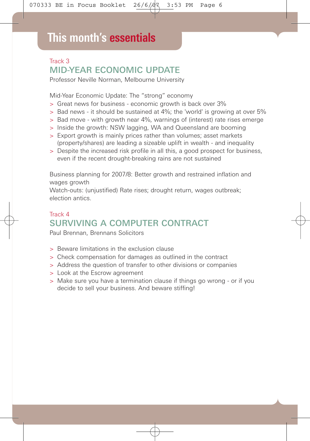# Track 3 MID-YEAR ECONOMIC UPDATE

Professor Neville Norman, Melbourne University

Mid-Year Economic Update: The "strong" economy

- > Great news for business economic growth is back over 3%
- > Bad news it should be sustained at 4%; the 'world' is growing at over 5%
- > Bad move with growth near 4%, warnings of (interest) rate rises emerge
- > Inside the growth: NSW lagging, WA and Queensland are booming
- > Export growth is mainly prices rather than volumes; asset markets (property/shares) are leading a sizeable uplift in wealth - and inequality
- > Despite the increased risk profile in all this, a good prospect for business, even if the recent drought-breaking rains are not sustained

Business planning for 2007/8: Better growth and restrained inflation and wages growth

Watch-outs: (unjustified) Rate rises; drought return, wages outbreak; election antics.

# Track 4 SURVIVING A COMPUTER CONTRACT

Paul Brennan, Brennans Solicitors

- > Beware limitations in the exclusion clause
- > Check compensation for damages as outlined in the contract
- > Address the question of transfer to other divisions or companies
- > Look at the Escrow agreement
- > Make sure you have a termination clause if things go wrong or if you decide to sell your business. And beware stiffing!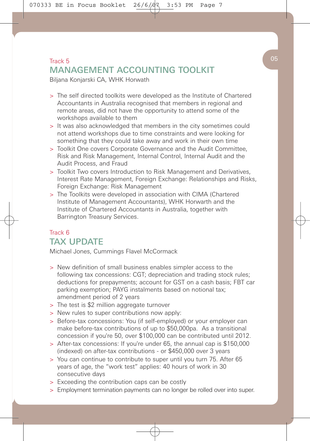# Track 5 and 5 and 5 and 5 and 5 and 5 and 5 and 5 and 5 and 5 and 5 and 5 and 5 and 5 and 5 and 5 and 5 and 5 and 5 and 5 and 5 and 5 and 5 and 5 and 5 and 5 and 5 and 5 and 5 and 5 and 5 and 5 and 5 and 5 and 5 and 5 and MANAGEMENT ACCOUNTING TOOLKIT

Biljana Konjarski CA, WHK Horwath

- > The self directed toolkits were developed as the Institute of Chartered Accountants in Australia recognised that members in regional and remote areas, did not have the opportunity to attend some of the workshops available to them
- > It was also acknowledged that members in the city sometimes could not attend workshops due to time constraints and were looking for something that they could take away and work in their own time
- > Toolkit One covers Corporate Governance and the Audit Committee, Risk and Risk Management, Internal Control, Internal Audit and the Audit Process, and Fraud
- > Toolkit Two covers Introduction to Risk Management and Derivatives, Interest Rate Management, Foreign Exchange: Relationships and Risks, Foreign Exchange: Risk Management
- > The Toolkits were developed in association with CIMA (Chartered Institute of Management Accountants), WHK Horwarth and the Institute of Chartered Accountants in Australia, together with Barrington Treasury Services.

## Track 6 TAX UPDATE

Michael Jones, Cummings Flavel McCormack

- > New definition of small business enables simpler access to the following tax concessions: CGT; depreciation and trading stock rules; deductions for prepayments; account for GST on a cash basis; FBT car parking exemption; PAYG instalments based on notional tax; amendment period of 2 years
- > The test is \$2 million aggregate turnover
- > New rules to super contributions now apply:
- > Before-tax concessions: You (if self-employed) or your employer can make before-tax contributions of up to \$50,000pa. As a transitional concession if you're 50, over \$100,000 can be contributed until 2012.
- > After-tax concessions: If you're under 65, the annual cap is \$150,000 (indexed) on after-tax contributions - or \$450,000 over 3 years
- > You can continue to contribute to super until you turn 75. After 65 years of age, the "work test" applies: 40 hours of work in 30 consecutive days
- > Exceeding the contribution caps can be costly
- > Employment termination payments can no longer be rolled over into super.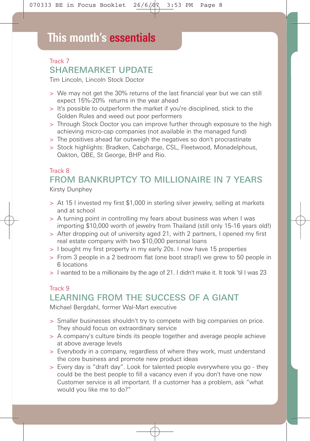## Track 7 SHAREMARKET UPDATE

Tim Lincoln, Lincoln Stock Doctor

- > We may not get the 30% returns of the last financial year but we can still expect 15%-20% returns in the year ahead
- > It's possible to outperform the market if you're disciplined, stick to the Golden Rules and weed out poor performers
- > Through Stock Doctor you can improve further through exposure to the high achieving micro-cap companies (not available in the managed fund)
- > The positives ahead far outweigh the negatives so don't procrastinate
- > Stock highlights: Bradken, Cabcharge, CSL, Fleetwood, Monadelphous, Oakton, QBE, St George, BHP and Rio.

# Track 8 FROM BANKRUPTCY TO MILLIONAIRE IN 7 YEARS

Kirsty Dunphey

- > At 15 I invested my first \$1,000 in sterling silver jewelry, selling at markets and at school
- > A turning point in controlling my fears about business was when I was importing \$10,000 worth of jewelry from Thailand (still only 15-16 years old!)
- > After dropping out of university aged 21, with 2 partners, I opened my first real estate company with two \$10,000 personal loans
- > I bought my first property in my early 20s. I now have 15 properties
- > From 3 people in a 2 bedroom flat (one boot strap!) we grew to 50 people in 6 locations
- > I wanted to be a millionaire by the age of 21. I didn't make it. It took 'til I was 23

## Track 9 LEARNING FROM THE SUCCESS OF A GIANT

Michael Bergdahl, former Wal-Mart executive

- > Smaller businesses shouldn't try to compete with big companies on price. They should focus on extraordinary service
- > A company's culture binds its people together and average people achieve at above average levels
- > Everybody in a company, regardless of where they work, must understand the core business and promote new product ideas
- > Every day is "draft day". Look for talented people everywhere you go they could be the best people to fill a vacancy even if you don't have one now Customer service is all important. If a customer has a problem, ask "what would you like me to do?"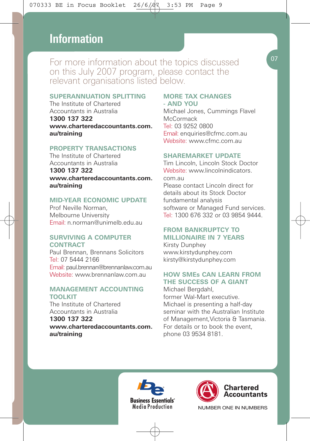# **This month's essentials Information**

For more information about the topics discussed on this July 2007 program, please contact the relevant organisations listed below.

#### **SUPERANNUATION SPLITTING**

The Institute of Chartered Accountants in Australia **1300 137 322 www.charteredaccountants.com. au/training**

#### **PROPERTY TRANSACTIONS**

The Institute of Chartered Accountants in Australia

**1300 137 322 www.charteredaccountants.com. au/training**

#### **MID-YEAR ECONOMIC UPDATE**

Prof Neville Norman, Melbourne University Email: n.norman@unimelb.edu.au

#### **SURVIVING A COMPUTER CONTRACT**

Paul Brennan, Brennans Solicitors Tel: 07 5444 2166 Email: paul.brennan@brennanlaw.com.au Website: www.brennanlaw.com.au

#### **MANAGEMENT ACCOUNTING TOOLKIT**

The Institute of Chartered Accountants in Australia

**1300 137 322 www.charteredaccountants.com. au/training**

#### **MORE TAX CHANGES - AND YOU**

Michael Jones, Cummings Flavel **McCormack** Tel: 03 9252 0800 Email: enquiries@cfmc.com.au Website: www.cfmc.com.au

#### **SHAREMARKET UPDATE**

Tim Lincoln, Lincoln Stock Doctor Website: www.lincolnindicators. com.au Please contact Lincoln direct for details about its Stock Doctor fundamental analysis software or Managed Fund services. Tel: 1300 676 332 or 03 9854 9444.

#### **FROM BANKRUPTCY TO MILLIONAIRE IN 7 YEARS**

Kirsty Dunphey www.kirstydunphey.com kirsty@kirstydunphey.com

#### **HOW SMEs CAN LEARN FROM THE SUCCESS OF A GIANT**

Michael Bergdahl, former Wal-Mart executive. Michael is presenting a half-day seminar with the Australian Institute of Management,Victoria & Tasmania. For details or to book the event, phone 03 9534 8181.





NUMBER ONE IN NUMBERS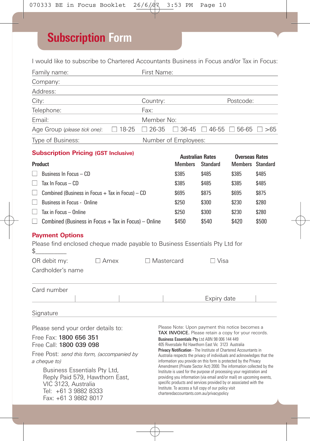# **Subscription Form**

I would like to subscribe to Chartered Accountants Business in Focus and/or Tax in Focus:

| Family name:<br>$\mathcal{L}(\mathcal{L}^{\mathcal{L}})$ and $\mathcal{L}^{\mathcal{L}}$ are the set of the set of the set of $\mathcal{L}^{\mathcal{L}}$                                           |                                                                                                                                                          | First Name:  |                                                                                                                        |                                                                                                                                                                                                                                                                                                                                                                                                                                                                                                                                                  |                                                   |                                                  |       |  |  |
|-----------------------------------------------------------------------------------------------------------------------------------------------------------------------------------------------------|----------------------------------------------------------------------------------------------------------------------------------------------------------|--------------|------------------------------------------------------------------------------------------------------------------------|--------------------------------------------------------------------------------------------------------------------------------------------------------------------------------------------------------------------------------------------------------------------------------------------------------------------------------------------------------------------------------------------------------------------------------------------------------------------------------------------------------------------------------------------------|---------------------------------------------------|--------------------------------------------------|-------|--|--|
| Company:                                                                                                                                                                                            |                                                                                                                                                          |              |                                                                                                                        |                                                                                                                                                                                                                                                                                                                                                                                                                                                                                                                                                  |                                                   |                                                  |       |  |  |
| Address:                                                                                                                                                                                            |                                                                                                                                                          |              |                                                                                                                        |                                                                                                                                                                                                                                                                                                                                                                                                                                                                                                                                                  |                                                   |                                                  |       |  |  |
| City:                                                                                                                                                                                               |                                                                                                                                                          |              | Country:                                                                                                               |                                                                                                                                                                                                                                                                                                                                                                                                                                                                                                                                                  |                                                   | Postcode:                                        |       |  |  |
| Telephone:                                                                                                                                                                                          |                                                                                                                                                          |              | Fax:                                                                                                                   |                                                                                                                                                                                                                                                                                                                                                                                                                                                                                                                                                  |                                                   |                                                  |       |  |  |
| Email:                                                                                                                                                                                              |                                                                                                                                                          |              | Member No:                                                                                                             |                                                                                                                                                                                                                                                                                                                                                                                                                                                                                                                                                  |                                                   |                                                  |       |  |  |
| Age Group (please tick one):                                                                                                                                                                        | $\Box$ 18-25                                                                                                                                             | $\Box$ 26-35 |                                                                                                                        |                                                                                                                                                                                                                                                                                                                                                                                                                                                                                                                                                  | $\Box$ 36-45 $\Box$ 46-55 $\Box$ 56-65 $\Box$ >65 |                                                  |       |  |  |
| Type of Business:<br>Number of Employees:                                                                                                                                                           |                                                                                                                                                          |              |                                                                                                                        |                                                                                                                                                                                                                                                                                                                                                                                                                                                                                                                                                  |                                                   |                                                  |       |  |  |
| <b>Subscription Pricing (GST Inclusive)</b>                                                                                                                                                         |                                                                                                                                                          |              |                                                                                                                        |                                                                                                                                                                                                                                                                                                                                                                                                                                                                                                                                                  |                                                   |                                                  |       |  |  |
| Product                                                                                                                                                                                             |                                                                                                                                                          |              |                                                                                                                        | <b>Australian Rates</b><br><b>Members</b>                                                                                                                                                                                                                                                                                                                                                                                                                                                                                                        | <b>Standard</b>                                   | <b>Overseas Rates</b><br><b>Members</b> Standard |       |  |  |
| Business In Focus - CD                                                                                                                                                                              |                                                                                                                                                          |              |                                                                                                                        | \$385                                                                                                                                                                                                                                                                                                                                                                                                                                                                                                                                            | \$485                                             | \$385                                            | \$485 |  |  |
| Tax In Focus - CD<br>$\mathsf{L}$                                                                                                                                                                   | \$385                                                                                                                                                    | \$485        | \$385                                                                                                                  | \$485                                                                                                                                                                                                                                                                                                                                                                                                                                                                                                                                            |                                                   |                                                  |       |  |  |
| Combined (Business in Focus $+$ Tax in Focus) $-$ CD<br>$\mathsf{L}$                                                                                                                                | \$695                                                                                                                                                    | \$875        | \$695                                                                                                                  | \$875                                                                                                                                                                                                                                                                                                                                                                                                                                                                                                                                            |                                                   |                                                  |       |  |  |
| Business in Focus - Online<br>$\Box$                                                                                                                                                                | \$250                                                                                                                                                    | \$300        | \$230                                                                                                                  | \$280                                                                                                                                                                                                                                                                                                                                                                                                                                                                                                                                            |                                                   |                                                  |       |  |  |
| Tax in Focus - Online<br>$\Box$                                                                                                                                                                     |                                                                                                                                                          |              |                                                                                                                        | \$250                                                                                                                                                                                                                                                                                                                                                                                                                                                                                                                                            | \$300                                             | \$230                                            | \$280 |  |  |
| $\Box$ Combined (Business in Focus + Tax in Focus) – Online                                                                                                                                         |                                                                                                                                                          |              |                                                                                                                        | \$450                                                                                                                                                                                                                                                                                                                                                                                                                                                                                                                                            | \$540                                             | \$420                                            | \$500 |  |  |
| <b>Payment Options</b><br>Please find enclosed cheque made payable to Business Essentials Pty Ltd for<br>\$<br>OR debit my:<br>$\Box$ Amex<br>Cardholder's name                                     |                                                                                                                                                          |              | $\Box$ Mastercard                                                                                                      |                                                                                                                                                                                                                                                                                                                                                                                                                                                                                                                                                  | ∩ Visa                                            |                                                  |       |  |  |
| Card number                                                                                                                                                                                         |                                                                                                                                                          |              |                                                                                                                        |                                                                                                                                                                                                                                                                                                                                                                                                                                                                                                                                                  |                                                   |                                                  |       |  |  |
|                                                                                                                                                                                                     |                                                                                                                                                          |              |                                                                                                                        |                                                                                                                                                                                                                                                                                                                                                                                                                                                                                                                                                  | Expiry date                                       |                                                  |       |  |  |
| Signature                                                                                                                                                                                           |                                                                                                                                                          |              |                                                                                                                        |                                                                                                                                                                                                                                                                                                                                                                                                                                                                                                                                                  |                                                   |                                                  |       |  |  |
| Please send your order details to:<br>Free Fax: 1800 656 351                                                                                                                                        | Please Note: Upon payment this notice becomes a<br>TAX INVOICE. Please retain a copy for your records.<br>Business Essentials Pty Ltd ABN 98 006 144 449 |              |                                                                                                                        |                                                                                                                                                                                                                                                                                                                                                                                                                                                                                                                                                  |                                                   |                                                  |       |  |  |
| Free Call: 1800 039 098                                                                                                                                                                             |                                                                                                                                                          |              | 405 Riversdale Rd Hawthorn East Vic 3123 Australia<br>Privacy Notification - The Institute of Chartered Accountants in |                                                                                                                                                                                                                                                                                                                                                                                                                                                                                                                                                  |                                                   |                                                  |       |  |  |
| Free Post: send this form, (accompanied by<br>a cheque to)<br>Business Essentials Pty Ltd,<br>Reply Paid 579, Hawthorn East,<br>VIC 3123. Australia<br>Tel: +61 3 9882 8333<br>Fax: +61 3 9882 8017 |                                                                                                                                                          |              |                                                                                                                        | Australia respects the privacy of individuals and acknowledges that the<br>information you provide on this form is protected by the Privacy<br>Amendment (Private Sector Act) 2000. The information collected by the<br>Institute is used for the purpose of processing your registration and<br>providing you information (via email and/or mail) on upcoming events,<br>specific products and services provided by or associated with the<br>Institute. To access a full copy of our policy visit<br>charteredaccountants.com.au/privacypolicy |                                                   |                                                  |       |  |  |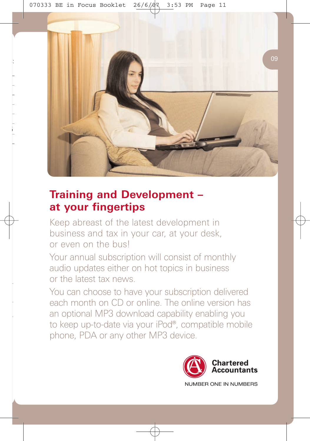

# **Training and Development – at your fingertips**

Keep abreast of the latest development in business and tax in your car, at your desk, or even on the bus!

Your annual subscription will consist of monthly audio updates either on hot topics in business or the latest tax news.

You can choose to have your subscription delivered each month on CD or online. The online version has an optional MP3 download capability enabling you to keep up-to-date via your iPod®, compatible mobile phone, PDA or any other MP3 device.

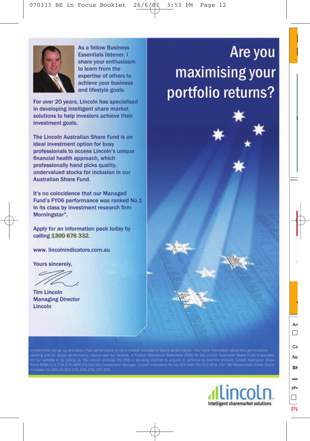

**As a fellow Business Essentials listener 1** share your enthusiasm to learn from the expertise of others to achieve your business and lifestyle goals.

For over 20 years, Lincoln has specialised in developing intelligent share market solutions to help investors achieve their investment goals.

The Lincoln Australian Share Fund is an **ideal investment option for busy** professionals to access Lincoln's unique financial health approach, which professionally hand picks quality. undervalued stocks for inclusion in our **Australian Share Fund.** 

It's no coincidence that our Managed Fund's FY06 performance was ranked No.1 in its class by investment research firm Morningstar\*.

Apply for an information pack today by calling 1300 676 332.

www.lincolnindicators.com.au

Yours sincerely.

**Tim Lincoln Managing Director** Lincoln

n our website or by calling us. You should consider the PDS in deciding whether to acquire or continue to bold the product. Lincoln Australian Share<br>und ARSN 111 734 279 (APIR ETLO043AU) Investment Manager: Lincoln Indicat



# Are you maximising your portfolio returns?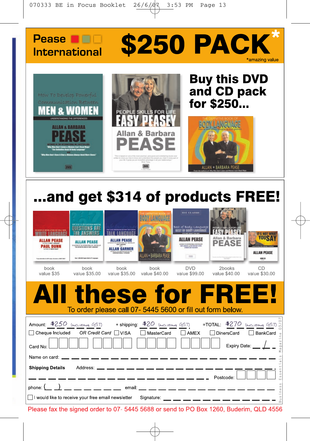



# ...and get \$314 of products FREE!

| <b>ALLAN PEASE</b><br><b>PAUL DUNN</b><br>book<br>value \$35                                                                                                                                         | OUESTIONS AR<br>ALLAN PEASE<br><b>Buy 1200 000 Sense Send &amp; Philadelph</b><br>book<br>value \$35.00                                                                                                                              | <b>ALLAN PEASE</b><br>ALLAN GARNER<br>book<br>value \$35.00 | <b>BODY LANGUAGE</b><br>LAN + BARBARA PE<br>book<br>value \$40.00 | THE ELAMIE<br><b>Best of Body Language</b><br><b>EST OF BOOY LANGUAGE</b><br>ALLAN PEASE<br><b>ASSIST we're had a car</b><br>$\frac{1}{2}$<br><b>DVD</b><br>value \$99.00 | PEOPLE SKILLS FOR<br>Allan & Barbara<br><b>PEASE</b><br>2books<br>value \$40.00 | <b>IT'S NOT WHA</b><br>YOUSA<br><b>ALLAN PEASE</b><br>CD<br>value \$30.00 |
|------------------------------------------------------------------------------------------------------------------------------------------------------------------------------------------------------|--------------------------------------------------------------------------------------------------------------------------------------------------------------------------------------------------------------------------------------|-------------------------------------------------------------|-------------------------------------------------------------------|---------------------------------------------------------------------------------------------------------------------------------------------------------------------------|---------------------------------------------------------------------------------|---------------------------------------------------------------------------|
|                                                                                                                                                                                                      |                                                                                                                                                                                                                                      |                                                             |                                                                   | To order please call 07-5445 5600 or fill out form below.                                                                                                                 | All these for FREE!                                                             |                                                                           |
| Amount: <u>\$250 (المجرماتية GST)</u> → + shipping: <u>\$20 (المجرماتية GST)</u> = TOTAL: \$270 (المجرماتية GST)<br>$\Box$ Cheque Included OR Credit Card $\Box$ VISA<br>Card No:<br>Name on card: _ | <u> 1986 - Andrea Ann ann an Aonaich ann an Aonaich ann an Aonaich ann an Aonaich ann an Aonaich ann an Aonaich an Aonaich ann an Aonaich ann an Aonaich ann an Aonaich ann an Aonaich ann an Aonaich ann an Aonaich ann an Aona</u> |                                                             |                                                                   | MasterCard AMEX                                                                                                                                                           | □ DinersCard                                                                    | BankCard<br>ine<br>agaz<br>Expiry Date: /                                 |
| <b>Shipping Details</b><br>I would like to receive your free email newsletter                                                                                                                        |                                                                                                                                                                                                                                      |                                                             | Address: __ __ __ __ __ __ __ __ __ __ __                         | $\frac{1}{2}$ and $\frac{1}{2}$ and $\frac{1}{2}$ and $\frac{1}{2}$ and $\frac{1}{2}$                                                                                     | Postcode:<br>Signature: __ __ __ __ __ __ __ __ __ __                           | issent<br>Business                                                        |

Please fax the signed order to 07- 5445 5688 or send to PO Box 1260, Buderim, QLD 4556